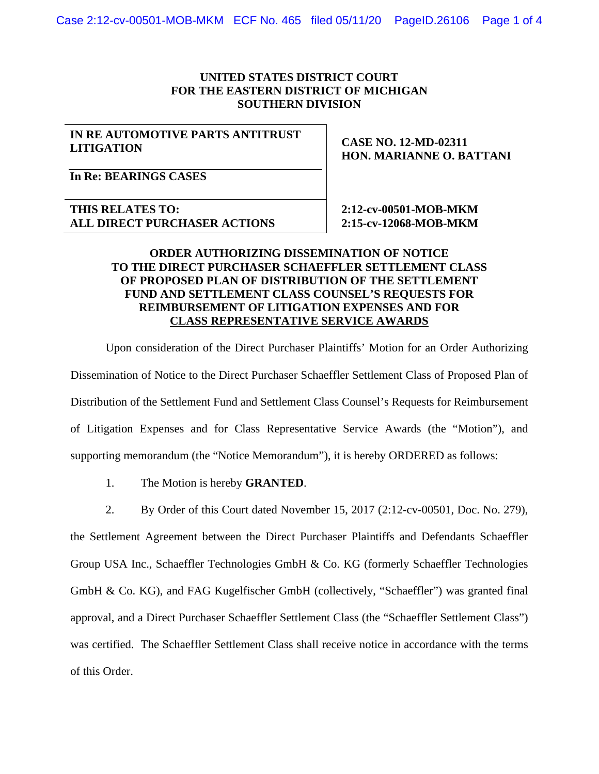## **UNITED STATES DISTRICT COURT FOR THE EASTERN DISTRICT OF MICHIGAN SOUTHERN DIVISION**

## **IN RE AUTOMOTIVE PARTS ANTITRUST LITIGATION**

**CASE NO. 12-MD-02311 HON. MARIANNE O. BATTANI** 

**In Re: BEARINGS CASES** 

**THIS RELATES TO: ALL DIRECT PURCHASER ACTIONS**   **2:12-cv-00501-MOB-MKM 2:15-cv-12068-MOB-MKM** 

## **ORDER AUTHORIZING DISSEMINATION OF NOTICE TO THE DIRECT PURCHASER SCHAEFFLER SETTLEMENT CLASS OF PROPOSED PLAN OF DISTRIBUTION OF THE SETTLEMENT FUND AND SETTLEMENT CLASS COUNSEL'S REQUESTS FOR REIMBURSEMENT OF LITIGATION EXPENSES AND FOR CLASS REPRESENTATIVE SERVICE AWARDS**

Upon consideration of the Direct Purchaser Plaintiffs' Motion for an Order Authorizing Dissemination of Notice to the Direct Purchaser Schaeffler Settlement Class of Proposed Plan of Distribution of the Settlement Fund and Settlement Class Counsel's Requests for Reimbursement of Litigation Expenses and for Class Representative Service Awards (the "Motion"), and supporting memorandum (the "Notice Memorandum"), it is hereby ORDERED as follows:

- 1. The Motion is hereby **GRANTED**.
- 2. By Order of this Court dated November 15, 2017 (2:12-cv-00501, Doc. No. 279),

the Settlement Agreement between the Direct Purchaser Plaintiffs and Defendants Schaeffler Group USA Inc., Schaeffler Technologies GmbH & Co. KG (formerly Schaeffler Technologies GmbH & Co. KG), and FAG Kugelfischer GmbH (collectively, "Schaeffler") was granted final approval, and a Direct Purchaser Schaeffler Settlement Class (the "Schaeffler Settlement Class") was certified. The Schaeffler Settlement Class shall receive notice in accordance with the terms of this Order.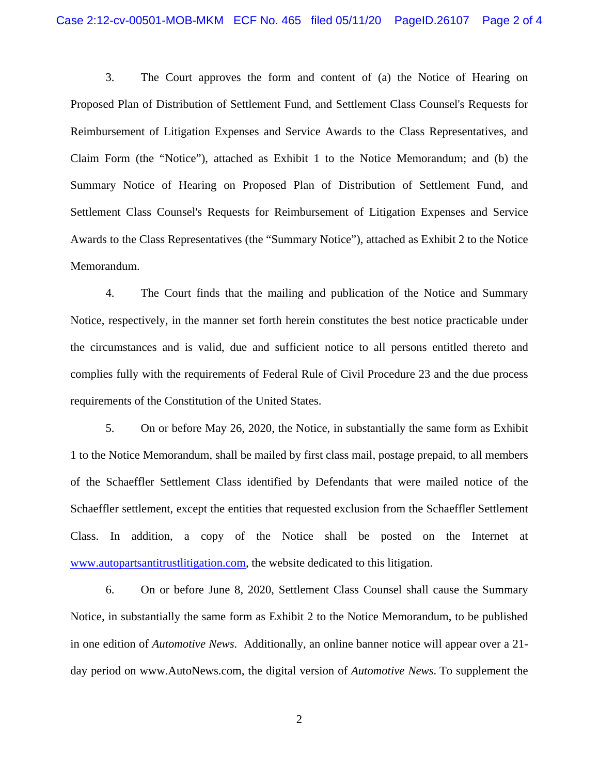3. The Court approves the form and content of (a) the Notice of Hearing on Proposed Plan of Distribution of Settlement Fund, and Settlement Class Counsel's Requests for Reimbursement of Litigation Expenses and Service Awards to the Class Representatives, and Claim Form (the "Notice"), attached as Exhibit 1 to the Notice Memorandum; and (b) the Summary Notice of Hearing on Proposed Plan of Distribution of Settlement Fund, and Settlement Class Counsel's Requests for Reimbursement of Litigation Expenses and Service Awards to the Class Representatives (the "Summary Notice"), attached as Exhibit 2 to the Notice Memorandum.

4. The Court finds that the mailing and publication of the Notice and Summary Notice, respectively, in the manner set forth herein constitutes the best notice practicable under the circumstances and is valid, due and sufficient notice to all persons entitled thereto and complies fully with the requirements of Federal Rule of Civil Procedure 23 and the due process requirements of the Constitution of the United States.

5. On or before May 26, 2020, the Notice, in substantially the same form as Exhibit 1 to the Notice Memorandum, shall be mailed by first class mail, postage prepaid, to all members of the Schaeffler Settlement Class identified by Defendants that were mailed notice of the Schaeffler settlement, except the entities that requested exclusion from the Schaeffler Settlement Class. In addition, a copy of the Notice shall be posted on the Internet at www.autopartsantitrustlitigation.com, the website dedicated to this litigation.

6. On or before June 8, 2020, Settlement Class Counsel shall cause the Summary Notice, in substantially the same form as Exhibit 2 to the Notice Memorandum, to be published in one edition of *Automotive News*. Additionally, an online banner notice will appear over a 21 day period on www.AutoNews.com, the digital version of *Automotive News*. To supplement the

2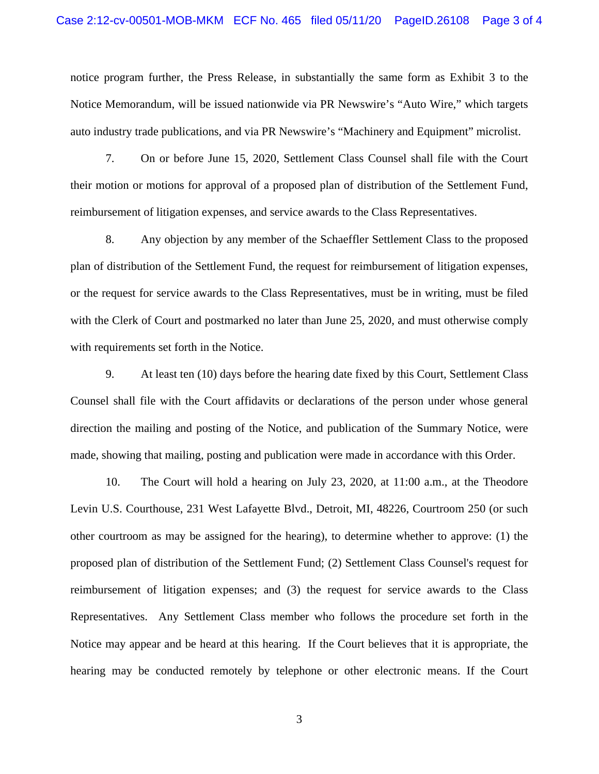notice program further, the Press Release, in substantially the same form as Exhibit 3 to the Notice Memorandum, will be issued nationwide via PR Newswire's "Auto Wire," which targets auto industry trade publications, and via PR Newswire's "Machinery and Equipment" microlist.

7. On or before June 15, 2020, Settlement Class Counsel shall file with the Court their motion or motions for approval of a proposed plan of distribution of the Settlement Fund, reimbursement of litigation expenses, and service awards to the Class Representatives.

8. Any objection by any member of the Schaeffler Settlement Class to the proposed plan of distribution of the Settlement Fund, the request for reimbursement of litigation expenses, or the request for service awards to the Class Representatives, must be in writing, must be filed with the Clerk of Court and postmarked no later than June 25, 2020, and must otherwise comply with requirements set forth in the Notice.

9. At least ten (10) days before the hearing date fixed by this Court, Settlement Class Counsel shall file with the Court affidavits or declarations of the person under whose general direction the mailing and posting of the Notice, and publication of the Summary Notice, were made, showing that mailing, posting and publication were made in accordance with this Order.

10. The Court will hold a hearing on July 23, 2020, at 11:00 a.m., at the Theodore Levin U.S. Courthouse, 231 West Lafayette Blvd., Detroit, MI, 48226, Courtroom 250 (or such other courtroom as may be assigned for the hearing), to determine whether to approve: (1) the proposed plan of distribution of the Settlement Fund; (2) Settlement Class Counsel's request for reimbursement of litigation expenses; and (3) the request for service awards to the Class Representatives. Any Settlement Class member who follows the procedure set forth in the Notice may appear and be heard at this hearing. If the Court believes that it is appropriate, the hearing may be conducted remotely by telephone or other electronic means. If the Court